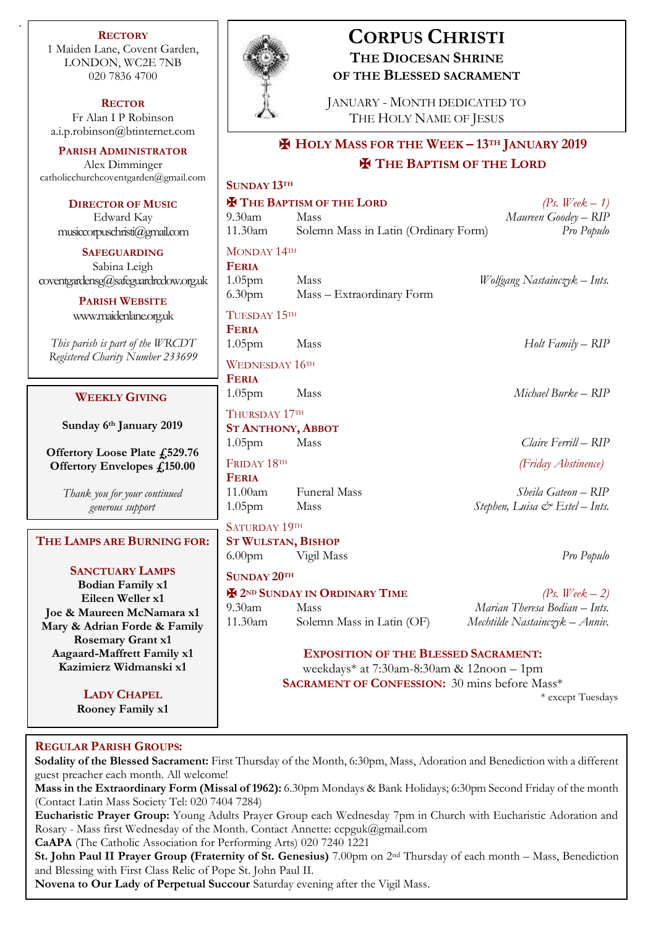**RECTORY** 1 Maiden Lane, Covent Garden, LONDON, WC2E 7NB 020 7836 4700

.

**RECTOR** Fr Alan I P Robinson [a.i.p.robinson@btinternet.com](mailto:a.i.p.robinson@btinternet.com)

**PARISH ADMINISTRATOR** Alex Dimminger [catholicchurchcoventgarden@gmail.com](mailto:catholicchurchcoventgarden@gmail.com)

**DIRECTOR OF MUSIC** Edward Kay musiccorpuschristi@gmail.com

**SAFEGUARDING** Sabina Leigh coventgardensg@safeguardrcdow.org.u

> **PARISH WEBSITE** [www.maidenlane.org.uk](http://www.maidenlane.org.uk/)

*This parish is part of the WRCDT Registered Charity Number 233699*

# **WEEKLY GIVING**

**Sunday 6 th January 2019** 

**Offertory Loose Plate £529.76 Offertory Envelopes £150.00**

> *Thank you for your continued generous support*

**THE LAMPS ARE BURNING FOR:**

**SANCTUARY LAMPS Bodian Family x1 Eileen Weller x1 Joe & Maureen McNamara x1 Mary & Adrian Forde & Family Rosemary Grant x1 Aagaard-Maffrett Family x1 Kazimierz Widmanski x1**

> **LADY CHAPEL Rooney Family x1**

*To have the lamps burning for your* 

# **CORPUS CHRISTI THE DIOCESAN SHRINE OF THE BLESSED SACRAMENT**

JANUARY - MONTH DEDICATED TO THE HOLY NAME OF JESUS

# ✠ **HOLY MASS FOR THE WEEK – 13TH JANUARY 2019** ✠ **THE BAPTISM OF THE LORD**

| n<br><b>SUNDAY 13TH</b> |                                      |                                |
|-------------------------|--------------------------------------|--------------------------------|
|                         | <b>E THE BAPTISM OF THE LORD</b>     | (Ps. Week $-1$ )               |
| $9.30$ am               | Mass                                 | Maureen Goodey - RIP           |
| 11.30am                 | Solemn Mass in Latin (Ordinary Form) | Pro Populo                     |
| MONDAY 14TH             |                                      |                                |
| <b>FERIA</b>            |                                      |                                |
| $1.05$ pm<br>ık         | Mass                                 | Wolfgang Nastainczyk – Ints.   |
|                         | 6.30pm Mass - Extraordinary Form     |                                |
| TUESDAY 15TH            |                                      |                                |
| <b>FERIA</b>            |                                      |                                |
| 1.05 <sub>pm</sub>      | Mass                                 | Holt Family - RIP              |
|                         | WEDNESDAY 16TH                       |                                |
| <b>FERIA</b>            |                                      |                                |
| 1.05 <sub>pm</sub>      | Mass                                 | Michael Burke – RIP            |
| THURSDAY 17TH           |                                      |                                |
|                         | <b>ST ANTHONY, ABBOT</b>             |                                |
| 1.05 <sub>pm</sub>      | Mass                                 | Claire Ferrill - RIP           |
| FRIDAY 18TH             |                                      | (Friday Abstinence)            |
| <b>FERIA</b>            |                                      |                                |
|                         | 11.00am Funeral Mass                 | Sheila Gateon – RIP            |
| 1.05 <sub>pm</sub>      | Mass                                 | Stephen, Luisa & Estel - Ints. |
| SATURDAY 19TH           |                                      |                                |
| R:                      | <b>ST WULSTAN, BISHOP</b>            |                                |
| 6.00 <sub>pm</sub>      | Vigil Mass                           | Pro Populo                     |
| SUNDAY 20TH             |                                      |                                |
|                         |                                      |                                |

**E** 2<sup>ND</sup> SUNDAY IN ORDINARY TIME  $(Ps. \text{Week} - 2)$ <br>9.30am Mass *Marian Theresa Bodian – Ints.* 9.30am Mass *Marian Theresa Bodian – Ints.* 11.30am Solemn Mass in Latin (OF) *Mechtilde Nastainczyk – Anniv.*

# **EXPOSITION OF THE BLESSED SACRAMENT:**

weekdays\* at 7:30am-8:30am & 12noon – 1pm **SACRAMENT OF CONFESSION:** 30 mins before Mass\*

\* except Tuesdays

# *intentions, use an envelope at the back of*  **REGULAR PARISH GROUPS:**

*the church or visit the website.* **Sodality of the Blessed Sacrament:** First Thursday of the Month, 6:30pm, Mass, Adoration and Benediction with a different guest preacher each month. All welcome!

**Mass in the Extraordinary Form (Missal of 1962):** 6.30pm Mondays & Bank Holidays; 6:30pm Second Friday of the month (Contact Latin Mass Society Tel: 020 7404 7284)

**Eucharistic Prayer Group:** Young Adults Prayer Group each Wednesday 7pm in Church with Eucharistic Adoration and Rosary - Mass first Wednesday of the Month. Contact Annette: ccpguk@gmail.com

**CaAPA** (The Catholic Association for Performing Arts) 020 7240 1221

**St. John Paul II Prayer Group (Fraternity of St. Genesius)** 7.00pm on 2nd Thursday of each month – Mass, Benediction and Blessing with First Class Relic of Pope St. John Paul II.

**Novena to Our Lady of Perpetual Succour** Saturday evening after the Vigil Mass.